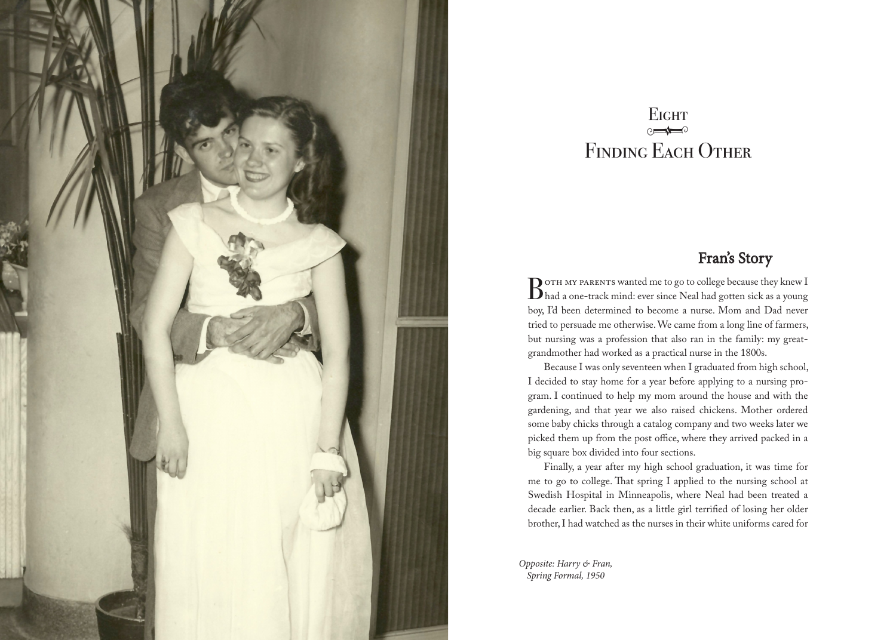

## $\theta$ **EIGHT** FINDING EACH OTHER

## Fran's Story

BOTH MY PARENTS wanted me to go to college because they knew I<br>Bhad a one-track mind: ever since Neal had gotten sick as a young boy, I'd been determined to become a nurse. Mom and Dad never tried to persuade me otherwise. We came from a long line of farmers, but nursing was a profession that also ran in the family: my greatgrandmother had worked as a practical nurse in the 1800s.

Because I was only seventeen when I graduated from high school, I decided to stay home for a year before applying to a nursing program. I continued to help my mom around the house and with the gardening, and that year we also raised chickens. Mother ordered some baby chicks through a catalog company and two weeks later we picked them up from the post office, where they arrived packed in a big square box divided into four sections.

Finally, a year after my high school graduation, it was time for me to go to college. That spring I applied to the nursing school at Swedish Hospital in Minneapolis, where Neal had been treated a decade earlier. Back then, as a little girl terrified of losing her older brother, I had watched as the nurses in their white uniforms cared for

*Opposite: Harry & Fran, Spring Formal, 1950*